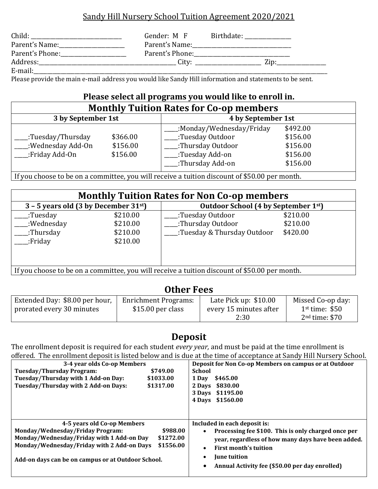### Sandy Hill Nursery School Tuition Agreement 2020/2021

| Child:          | Gender: M F     | Birthdate: |       |
|-----------------|-----------------|------------|-------|
| Parent's Name:  | Parent's Name:  |            |       |
| Parent's Phone: | Parent's Phone: |            |       |
| Address:        | City:           |            | 7.in· |
| E-mail:         |                 |            |       |

Please provide the main e-mail address you would like Sandy Hill information and statements to be sent.

#### **Please select all programs you would like to enroll in. Monthly Tuition Rates for Co-op members**

| <b>THUILLILY</b><br>Turnon nates for Go op includers |          |                          |          |
|------------------------------------------------------|----------|--------------------------|----------|
| 3 by September 1st                                   |          | 4 by September 1st       |          |
|                                                      |          | :Monday/Wednesday/Friday | \$492.00 |
| .:Tuesday/Thursday                                   | \$366.00 | :Tuesday Outdoor         | \$156.00 |
| .:Wednesday Add-On                                   | \$156.00 | :Thursday Outdoor        | \$156.00 |
| .:Friday Add-On                                      | \$156.00 | :Tuesday Add-on          | \$156.00 |
|                                                      |          | :Thursday Add-on         | \$156.00 |

If you choose to be on a committee, you will receive a tuition discount of \$50.00 per month.

| <b>Monthly Tuition Rates for Non Co-op members</b>                                            |                      |                                       |                      |
|-----------------------------------------------------------------------------------------------|----------------------|---------------------------------------|----------------------|
| $3 - 5$ years old (3 by December 31st)<br>Outdoor School (4 by September 1st)                 |                      |                                       |                      |
| .:Tuesday<br>:Wednesday                                                                       | \$210.00<br>\$210.00 | :Tuesday Outdoor<br>:Thursday Outdoor | \$210.00<br>\$210.00 |
| :Thursday<br>.:Friday                                                                         | \$210.00<br>\$210.00 | :Tuesday & Thursday Outdoor           | \$420.00             |
| If you choose to be on a committee, you will receive a tuition discount of \$50.00 per month. |                      |                                       |                      |

### **Other Fees**

| Extended Day: \$8.00 per hour, | <b>Enrichment Programs:</b> | Late Pick up: $$10.00$ | Missed Co-op day: |
|--------------------------------|-----------------------------|------------------------|-------------------|
| prorated every 30 minutes      | \$15.00 per class           | every 15 minutes after | $1st$ time: \$50  |
|                                |                             | 2:30                   | $2nd$ time: \$70  |

## **Deposit**

The enrollment deposit is required for each student *every year,* and must be paid at the time enrollment is offered. The enrollment deposit is listed below and is due at the time of acceptance at Sandy Hill Nursery School.

| 3-4 year olds Co-op Members<br><b>Tuesday/Thursday Program:</b><br>\$749.00<br>Tuesday/Thursday with 1 Add-on Day:<br>\$1033.00<br>Tuesday/Thursday with 2 Add-on Days:<br>\$1317.00                                                                   | Deposit for Non Co-op Members on campus or at Outdoor<br><b>School</b><br>1 Dav<br>\$465.00<br>\$830.00<br>2 Davs<br>\$1195.00<br>3 Days<br>\$1560.00<br>4 Days                                                                                                            |
|--------------------------------------------------------------------------------------------------------------------------------------------------------------------------------------------------------------------------------------------------------|----------------------------------------------------------------------------------------------------------------------------------------------------------------------------------------------------------------------------------------------------------------------------|
| 4-5 years old Co-op Members<br>Monday/Wednesday/Friday Program:<br>\$988.00<br>Monday/Wednesday/Friday with 1 Add-on Day<br>\$1272.00<br>Monday/Wednesday/Friday with 2 Add-on Days<br>\$1556.00<br>Add-on days can be on campus or at Outdoor School. | Included in each deposit is:<br>Processing fee \$100. This is only charged once per<br>$\bullet$<br>year, regardless of how many days have been added.<br>First month's tuition<br>$\bullet$<br><b>June tuition</b><br>٠<br>Annual Activity fee (\$50.00 per day enrolled) |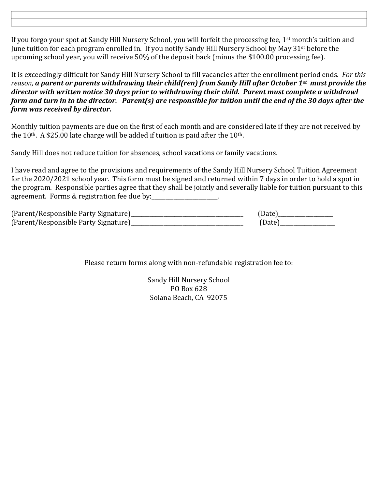| and the contract of the contract of the contract of the contract of the contract of the contract of the contract of |  |
|---------------------------------------------------------------------------------------------------------------------|--|
|                                                                                                                     |  |
|                                                                                                                     |  |
|                                                                                                                     |  |
|                                                                                                                     |  |
|                                                                                                                     |  |
|                                                                                                                     |  |
| ,一个人都是一个人的人,一个人都是一个人的人,一个人都是一个人的人,一个人都是一个人的人,一个人都是一个人的人,一个人都是一个人的人,一个人都是一个人的人,一个人                                   |  |

If you forgo your spot at Sandy Hill Nursery School, you will forfeit the processing fee, 1<sup>st</sup> month's tuition and June tuition for each program enrolled in. If you notify Sandy Hill Nursery School by May 31st before the upcoming school year, you will receive 50% of the deposit back (minus the \$100.00 processing fee).

It is exceedingly difficult for Sandy Hill Nursery School to fill vacancies after the enrollment period ends. *For this reason, a parent or parents withdrawing their child(ren) from Sandy Hill after October 1st must provide the director with written notice 30 days prior to withdrawing their child. Parent must complete a withdrawl form and turn in to the director. Parent(s) are responsible for tuition until the end of the 30 days after the form was received by director.* 

Monthly tuition payments are due on the first of each month and are considered late if they are not received by the  $10<sup>th</sup>$ . A \$25.00 late charge will be added if tuition is paid after the  $10<sup>th</sup>$ .

Sandy Hill does not reduce tuition for absences, school vacations or family vacations.

I have read and agree to the provisions and requirements of the Sandy Hill Nursery School Tuition Agreement for the 2020/2021 school year. This form must be signed and returned within 7 days in order to hold a spot in the program. Responsible parties agree that they shall be jointly and severally liable for tuition pursuant to this agreement. Forms & registration fee due by:

| (Parent/Responsible Party Signature) | (Date) |
|--------------------------------------|--------|
| (Parent/Responsible Party Signature) | (Date) |

Please return forms along with non-refundable registration fee to:

Sandy Hill Nursery School PO Box 628 Solana Beach, CA 92075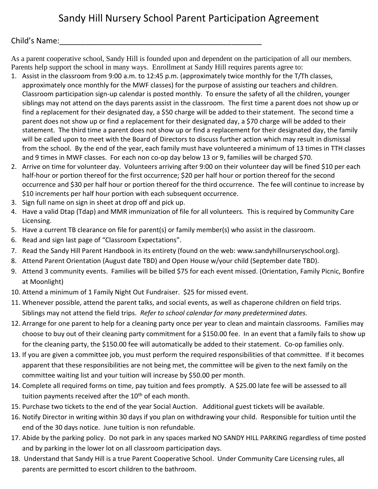# Sandy Hill Nursery School Parent Participation Agreement

#### Child's Name:

As a parent cooperative school, Sandy Hill is founded upon and dependent on the participation of all our members. Parents help support the school in many ways. Enrollment at Sandy Hill requires parents agree to:

- 1. Assist in the classroom from 9:00 a.m. to 12:45 p.m. (approximately twice monthly for the T/Th classes, approximately once monthly for the MWF classes) for the purpose of assisting our teachers and children. Classroom participation sign-up calendar is posted monthly. To ensure the safety of all the children, younger siblings may not attend on the days parents assist in the classroom. The first time a parent does not show up or find a replacement for their designated day, a \$50 charge will be added to their statement. The second time a parent does not show up or find a replacement for their designated day, a \$70 charge will be added to their statement. The third time a parent does not show up or find a replacement for their designated day, the family will be called upon to meet with the Board of Directors to discuss further action which may result in dismissal from the school. By the end of the year, each family must have volunteered a minimum of 13 times in TTH classes and 9 times in MWF classes. For each non co-op day below 13 or 9, families will be charged \$70.
- 2. Arrive on time for volunteer day. Volunteers arriving after 9:00 on their volunteer day will be fined \$10 per each half-hour or portion thereof for the first occurrence; \$20 per half hour or portion thereof for the second occurrence and \$30 per half hour or portion thereof for the third occurrence. The fee will continue to increase by \$10 increments per half hour portion with each subsequent occurrence.
- 3. Sign full name on sign in sheet at drop off and pick up.
- 4. Have a valid Dtap (Tdap) and MMR immunization of file for all volunteers. This is required by Community Care Licensing.
- 5. Have a current TB clearance on file for parent(s) or family member(s) who assist in the classroom.
- 6. Read and sign last page of "Classroom Expectations".
- 7. Read the Sandy Hill Parent Handbook in its entirety (found on the web: www.sandyhillnurseryschool.org).
- 8. Attend Parent Orientation (August date TBD) and Open House w/your child (September date TBD).
- 9. Attend 3 community events. Families will be billed \$75 for each event missed. (Orientation, Family Picnic, Bonfire at Moonlight)
- 10. Attend a minimum of 1 Family Night Out Fundraiser. \$25 for missed event.
- 11. Whenever possible, attend the parent talks, and social events, as well as chaperone children on field trips. Siblings may not attend the field trips. *Refer to school calendar for many predetermined dates.*
- 12. Arrange for one parent to help for a cleaning party once per year to clean and maintain classrooms. Families may choose to buy out of their cleaning party commitment for a \$150.00 fee. In an event that a family fails to show up for the cleaning party, the \$150.00 fee will automatically be added to their statement. Co-op families only.
- 13. If you are given a committee job, you must perform the required responsibilities of that committee. If it becomes apparent that these responsibilities are not being met, the committee will be given to the next family on the committee waiting list and your tuition will increase by \$50.00 per month.
- 14. Complete all required forms on time, pay tuition and fees promptly. A \$25.00 late fee will be assessed to all tuition payments received after the  $10<sup>th</sup>$  of each month.
- 15. Purchase two tickets to the end of the year Social Auction. Additional guest tickets will be available.
- 16. Notify Director in writing within 30 days if you plan on withdrawing your child. Responsible for tuition until the end of the 30 days notice. June tuition is non refundable.
- 17. Abide by the parking policy. Do not park in any spaces marked NO SANDY HILL PARKING regardless of time posted and by parking in the lower lot on all classroom participation days.
- 18. Understand that Sandy Hill is a true Parent Cooperative School. Under Community Care Licensing rules, all parents are permitted to escort children to the bathroom.